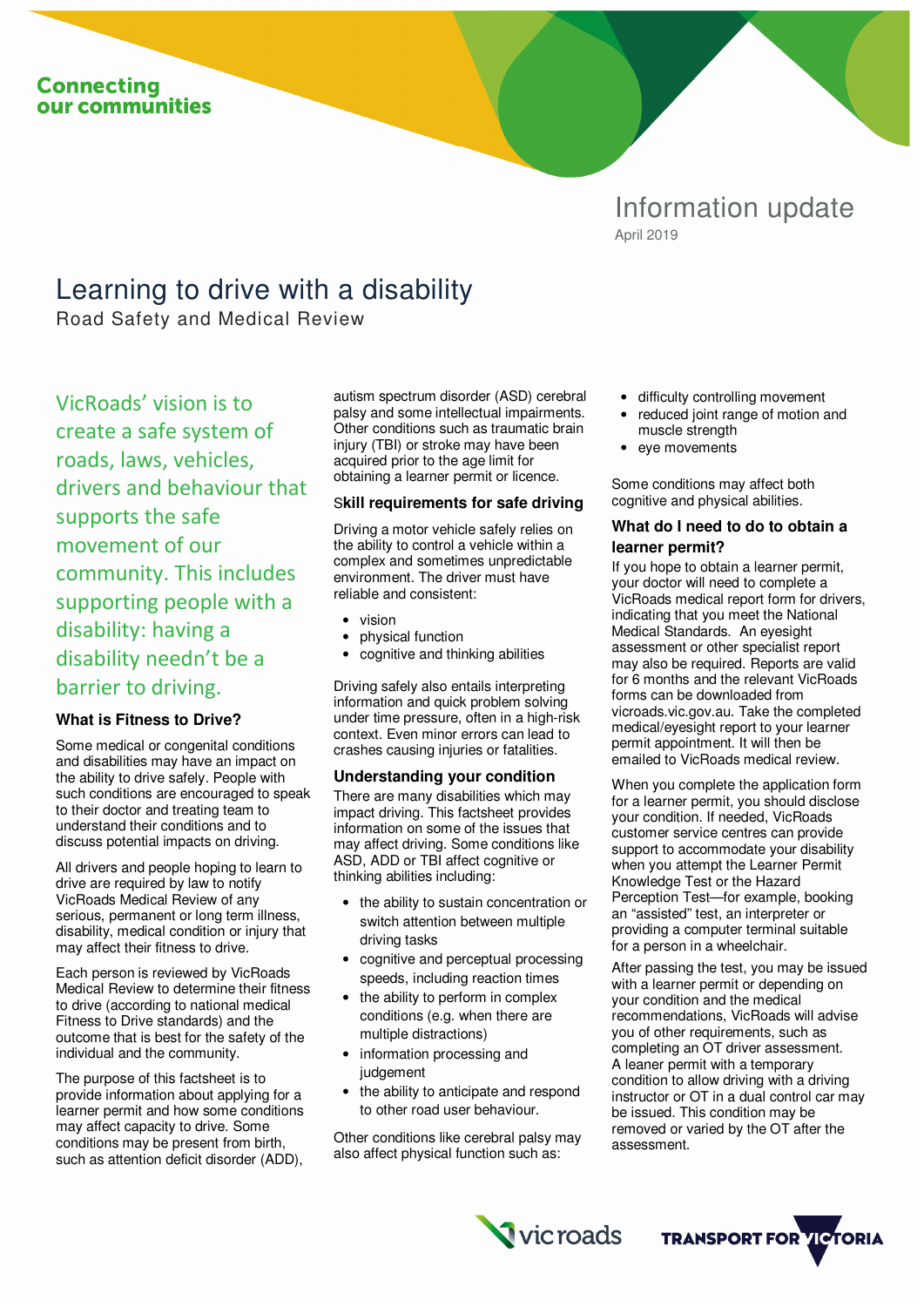# **Connecting** our communities

# Information update April 2019

# Learning to drive with a disability

Road Safety and Medical Review

VicRoads' vision is to create a safe system of roads, laws, vehicles, drivers and behaviour that supports the safe movement of our community. This includes supporting people with a disability: having a disability needn't be a barrier to driving.

## **What is Fitness to Drive?**

Some medical or congenital conditions and disabilities may have an impact on the ability to drive safely. People with such conditions are encouraged to speak to their doctor and treating team to understand their conditions and to discuss potential impacts on driving.

All drivers and people hoping to learn to drive are required by law to notify VicRoads Medical Review of any serious, permanent or long term illness, disability, medical condition or injury that may affect their fitness to drive.

Each person is reviewed by VicRoads Medical Review to determine their fitness to drive (according to national medical Fitness to Drive standards) and the outcome that is best for the safety of the individual and the community.

The purpose of this factsheet is to provide information about applying for a learner permit and how some conditions may affect capacity to drive. Some conditions may be present from birth, such as attention deficit disorder (ADD),

autism spectrum disorder (ASD) cerebral palsy and some intellectual impairments. Other conditions such as traumatic brain injury (TBI) or stroke may have been acquired prior to the age limit for obtaining a learner permit or licence.

#### S**kill requirements for safe driving**

Driving a motor vehicle safely relies on the ability to control a vehicle within a complex and sometimes unpredictable environment. The driver must have reliable and consistent:

- vision
- physical function
- cognitive and thinking abilities

Driving safely also entails interpreting information and quick problem solving under time pressure, often in a high-risk context. Even minor errors can lead to crashes causing injuries or fatalities.

#### **Understanding your condition**

There are many disabilities which may impact driving. This factsheet provides information on some of the issues that may affect driving. Some conditions like ASD, ADD or TBI affect cognitive or thinking abilities including:

- the ability to sustain concentration or switch attention between multiple driving tasks
- cognitive and perceptual processing speeds, including reaction times
- the ability to perform in complex conditions (e.g. when there are multiple distractions)
- information processing and judgement
- the ability to anticipate and respond to other road user behaviour.

Other conditions like cerebral palsy may also affect physical function such as:

**Vicroads** 

- difficulty controlling movement
- reduced joint range of motion and muscle strength
- eye movements

Some conditions may affect both cognitive and physical abilities.

## **What do I need to do to obtain a learner permit?**

If you hope to obtain a learner permit, your doctor will need to complete a VicRoads medical report form for drivers, indicating that you meet the National Medical Standards. An eyesight assessment or other specialist report may also be required. Reports are valid for 6 months and the relevant VicRoads forms can be downloaded from vicroads.vic.gov.au. Take the completed medical/eyesight report to your learner permit appointment. It will then be emailed to VicRoads medical review.

When you complete the application form for a learner permit, you should disclose your condition. If needed, VicRoads customer service centres can provide support to accommodate your disability when you attempt the Learner Permit Knowledge Test or the Hazard Perception Test—for example, booking an "assisted" test, an interpreter or providing a computer terminal suitable for a person in a wheelchair.

After passing the test, you may be issued with a learner permit or depending on your condition and the medical recommendations, VicRoads will advise you of other requirements, such as completing an OT driver assessment. A leaner permit with a temporary condition to allow driving with a driving instructor or OT in a dual control car may be issued. This condition may be removed or varied by the OT after the assessment.

**TRANSPORT FOR VICTORIA**